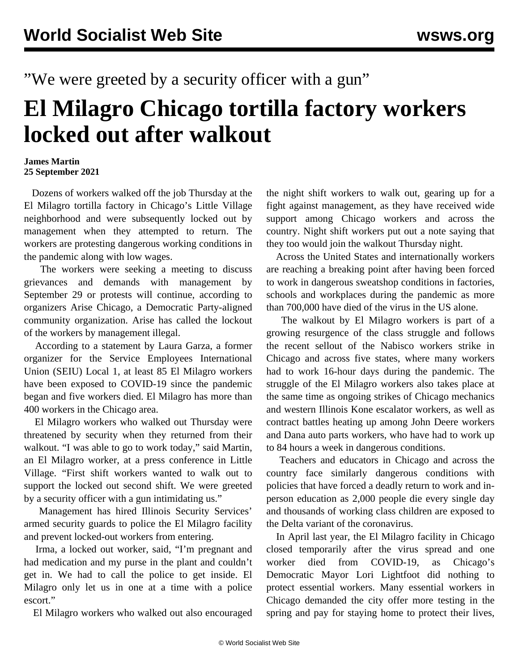"We were greeted by a security officer with a gun"

## **El Milagro Chicago tortilla factory workers locked out after walkout**

## **James Martin 25 September 2021**

 Dozens of workers walked off the job Thursday at the El Milagro tortilla factory in Chicago's Little Village neighborhood and were subsequently locked out by management when they attempted to return. The workers are protesting dangerous working conditions in the pandemic along with low wages.

 The workers were seeking a meeting to discuss grievances and demands with management by September 29 or protests will continue, according to organizers Arise Chicago, a Democratic Party-aligned community organization. Arise has called the lockout of the workers by management illegal.

 According to a statement by Laura Garza, a former organizer for the Service Employees International Union (SEIU) Local 1, at least 85 El Milagro workers have been exposed to COVID-19 since the pandemic began and five workers died. El Milagro has more than 400 workers in the Chicago area.

 El Milagro workers who walked out Thursday were threatened by security when they returned from their walkout. "I was able to go to work today," said Martin, an El Milagro worker, at a press conference in Little Village. "First shift workers wanted to walk out to support the locked out second shift. We were greeted by a security officer with a gun intimidating us."

 Management has hired Illinois Security Services' armed security guards to police the El Milagro facility and prevent locked-out workers from entering.

 Irma, a locked out worker, said, "I'm pregnant and had medication and my purse in the plant and couldn't get in. We had to call the police to get inside. El Milagro only let us in one at a time with a police escort."

El Milagro workers who walked out also encouraged

the night shift workers to walk out, gearing up for a fight against management, as they have received wide support among Chicago workers and across the country. Night shift workers put out a note saying that they too would join the walkout Thursday night.

 Across the United States and internationally workers are reaching a breaking point after having been forced to work in dangerous sweatshop conditions in factories, schools and workplaces during the pandemic as more than 700,000 have died of the virus in the US alone.

 The walkout by El Milagro workers is part of a growing resurgence of the class struggle and follows the recent sellout of the [Nabisco workers](/en/articles/2021/09/20/nabi-s20.html) strike in Chicago and across five states, where many workers had to work 16-hour days during the pandemic. The struggle of the El Milagro workers also takes place at the same time as ongoing strikes of [Chicago mechanics](/en/articles/2021/09/20/nabi-s20.html) and western Illinois [Kone escalator workers,](/en/articles/2021/09/23/kone-s23.html) as well as contract battles heating up among [John Deere](/en/articles/2021/09/21/deer-s21.html) workers and [Dana auto parts workers](/en/articles/2021/09/24/dana-s24.html), who have had to work up to 84 hours a week in dangerous conditions.

 Teachers and educators in Chicago and across the country face similarly dangerous conditions with policies that have forced a deadly return to work and inperson education as 2,000 people die every single day and thousands of working class children are exposed to the Delta variant of the coronavirus.

 In April last year, the El Milagro facility in Chicago closed temporarily after the virus spread and one worker died from COVID-19, as Chicago's Democratic Mayor Lori Lightfoot did nothing to protect essential workers. Many essential workers in Chicago demanded the city offer more testing in the spring and pay for staying home to protect their lives,